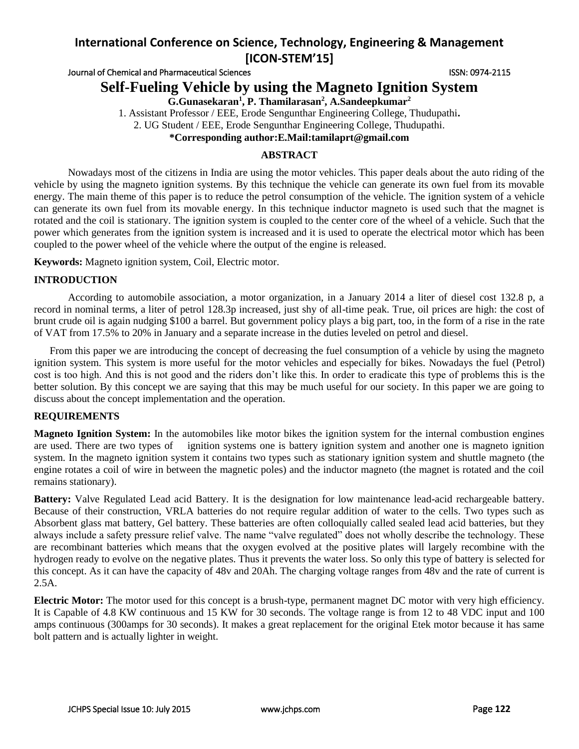Journal of Chemical and Pharmaceutical Sciences **ISSN: 0974-2115** ISSN: 0974-2115

# **Self-Fueling Vehicle by using the Magneto Ignition System**

**G.Gunasekaran<sup>1</sup> , P. Thamilarasan<sup>2</sup> , A.Sandeepkumar<sup>2</sup>**

1. Assistant Professor / EEE, Erode Sengunthar Engineering College, Thudupathi**.**

2. UG Student / EEE, Erode Sengunthar Engineering College, Thudupathi.

## **\*Corresponding author:E.Mail:tamilaprt@gmail.com**

## **ABSTRACT**

Nowadays most of the citizens in India are using the motor vehicles. This paper deals about the auto riding of the vehicle by using the magneto ignition systems. By this technique the vehicle can generate its own fuel from its movable energy. The main theme of this paper is to reduce the petrol consumption of the vehicle. The ignition system of a vehicle can generate its own fuel from its movable energy. In this technique inductor magneto is used such that the magnet is rotated and the coil is stationary. The ignition system is coupled to the center core of the wheel of a vehicle. Such that the power which generates from the ignition system is increased and it is used to operate the electrical motor which has been coupled to the power wheel of the vehicle where the output of the engine is released.

**Keywords:** Magneto ignition system, Coil, Electric motor.

#### **INTRODUCTION**

According to automobile association, a motor organization, in a January 2014 a liter of diesel cost 132.8 p, a record in nominal terms, a liter of petrol 128.3p increased, just shy of all-time peak. True, oil prices are high: the cost of brunt crude oil is again nudging \$100 a barrel. But government policy plays a big part, too, in the form of a rise in the rate of VAT from 17.5% to 20% in January and a separate increase in the duties leveled on petrol and diesel.

 From this paper we are introducing the concept of decreasing the fuel consumption of a vehicle by using the magneto ignition system. This system is more useful for the motor vehicles and especially for bikes. Nowadays the fuel (Petrol) cost is too high. And this is not good and the riders don't like this. In order to eradicate this type of problems this is the better solution. By this concept we are saying that this may be much useful for our society. In this paper we are going to discuss about the concept implementation and the operation.

## **REQUIREMENTS**

**Magneto Ignition System:** In the automobiles like motor bikes the ignition system for the internal combustion engines are used. There are two types of ignition systems one is battery ignition system and another one is magneto ignition system. In the magneto ignition system it contains two types such as stationary ignition system and shuttle magneto (the engine rotates a coil of wire in between the magnetic poles) and the inductor magneto (the magnet is rotated and the coil remains stationary).

**Battery:** Valve Regulated Lead acid Battery. It is the designation for low maintenance lead-acid rechargeable battery. Because of their construction, VRLA batteries do not require regular addition of water to the cells. Two types such as Absorbent glass mat battery, Gel battery. These batteries are often colloquially called sealed lead acid batteries, but they always include a safety pressure relief valve. The name "valve regulated" does not wholly describe the technology. These are recombinant batteries which means that the oxygen evolved at the positive plates will largely recombine with the hydrogen ready to evolve on the negative plates. Thus it prevents the water loss. So only this type of battery is selected for this concept. As it can have the capacity of 48v and 20Ah. The charging voltage ranges from 48v and the rate of current is 2.5A.

**Electric Motor:** The motor used for this concept is a brush-type, permanent magnet DC motor with very high efficiency. It is Capable of 4.8 KW continuous and 15 KW for 30 seconds. The voltage range is from 12 to 48 VDC input and 100 amps continuous (300amps for 30 seconds). It makes a great replacement for the original Etek motor because it has same bolt pattern and is actually lighter in weight.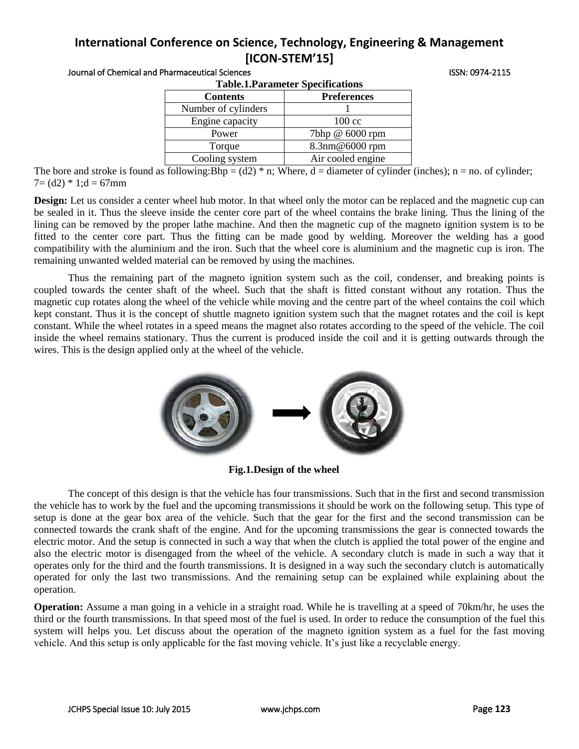| <b>Table.1.Parameter Specifications</b> |                    |
|-----------------------------------------|--------------------|
| <b>Contents</b>                         | <b>Preferences</b> |
| Number of cylinders                     |                    |
| Engine capacity                         | $100 \text{ cc}$   |
| Power                                   | 7bhp @ 6000 rpm    |
| Torque                                  | 8.3nm@6000 rpm     |
| Cooling system                          | Air cooled engine  |
|                                         |                    |

Journal of Chemical and Pharmaceutical Sciences ISSN: 0974-2115

The bore and stroke is found as following:Bhp =  $(d2)$  \* n; Where, d = diameter of cylinder (inches); n = no. of cylinder;  $7 = (d2) * 1; d = 67$ mm

**Design:** Let us consider a center wheel hub motor. In that wheel only the motor can be replaced and the magnetic cup can be sealed in it. Thus the sleeve inside the center core part of the wheel contains the brake lining. Thus the lining of the lining can be removed by the proper lathe machine. And then the magnetic cup of the magneto ignition system is to be fitted to the center core part. Thus the fitting can be made good by welding. Moreover the welding has a good compatibility with the aluminium and the iron. Such that the wheel core is aluminium and the magnetic cup is iron. The remaining unwanted welded material can be removed by using the machines.

Thus the remaining part of the magneto ignition system such as the coil, condenser, and breaking points is coupled towards the center shaft of the wheel. Such that the shaft is fitted constant without any rotation. Thus the magnetic cup rotates along the wheel of the vehicle while moving and the centre part of the wheel contains the coil which kept constant. Thus it is the concept of shuttle magneto ignition system such that the magnet rotates and the coil is kept constant. While the wheel rotates in a speed means the magnet also rotates according to the speed of the vehicle. The coil inside the wheel remains stationary. Thus the current is produced inside the coil and it is getting outwards through the wires. This is the design applied only at the wheel of the vehicle.



**Fig.1.Design of the wheel**

The concept of this design is that the vehicle has four transmissions. Such that in the first and second transmission the vehicle has to work by the fuel and the upcoming transmissions it should be work on the following setup. This type of setup is done at the gear box area of the vehicle. Such that the gear for the first and the second transmission can be connected towards the crank shaft of the engine. And for the upcoming transmissions the gear is connected towards the electric motor. And the setup is connected in such a way that when the clutch is applied the total power of the engine and also the electric motor is disengaged from the wheel of the vehicle. A secondary clutch is made in such a way that it operates only for the third and the fourth transmissions. It is designed in a way such the secondary clutch is automatically operated for only the last two transmissions. And the remaining setup can be explained while explaining about the operation.

**Operation:** Assume a man going in a vehicle in a straight road. While he is travelling at a speed of 70km/hr, he uses the third or the fourth transmissions. In that speed most of the fuel is used. In order to reduce the consumption of the fuel this system will helps you. Let discuss about the operation of the magneto ignition system as a fuel for the fast moving vehicle. And this setup is only applicable for the fast moving vehicle. It's just like a recyclable energy.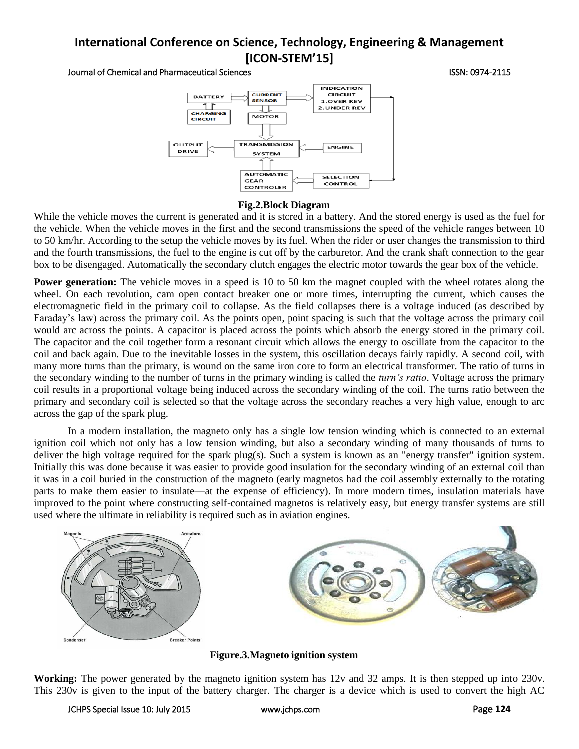#### Journal of Chemical and Pharmaceutical Sciences ISSN: 0974-2115



## **Fig.2.Block Diagram**

While the vehicle moves the current is generated and it is stored in a battery. And the stored energy is used as the fuel for the vehicle. When the vehicle moves in the first and the second transmissions the speed of the vehicle ranges between 10 to 50 km/hr. According to the setup the vehicle moves by its fuel. When the rider or user changes the transmission to third and the fourth transmissions, the fuel to the engine is cut off by the carburetor. And the crank shaft connection to the gear box to be disengaged. Automatically the secondary clutch engages the electric motor towards the gear box of the vehicle.

**Power generation:** The vehicle moves in a speed is 10 to 50 km the magnet coupled with the wheel rotates along the wheel. On each revolution, cam open contact breaker one or more times, interrupting the current, which causes the electromagnetic field in the primary coil to collapse. As the field collapses there is a voltage induced (as described by Faraday's law) across the primary coil. As the points open, point spacing is such that the voltage across the primary coil would arc across the points. A capacitor is placed across the points which absorb the energy stored in the primary coil. The capacitor and the coil together form a resonant circuit which allows the energy to oscillate from the capacitor to the coil and back again. Due to the inevitable losses in the system, this oscillation decays fairly rapidly. A second coil, with many more turns than the primary, is wound on the same iron core to form an electrical transformer. The ratio of turns in the secondary winding to the number of turns in the primary winding is called the *turn's ratio*. Voltage across the primary coil results in a proportional voltage being induced across the secondary winding of the coil. The turns ratio between the primary and secondary coil is selected so that the voltage across the secondary reaches a very high value, enough to arc across the gap of the spark plug.

In a modern installation, the magneto only has a single low tension winding which is connected to an external ignition coil which not only has a low tension winding, but also a secondary winding of many thousands of turns to deliver the high voltage required for the spark plug(s). Such a system is known as an "energy transfer" ignition system. Initially this was done because it was easier to provide good insulation for the secondary winding of an external coil than it was in a coil buried in the construction of the magneto (early magnetos had the coil assembly externally to the rotating parts to make them easier to insulate—at the expense of efficiency). In more modern times, insulation materials have improved to the point where constructing self-contained magnetos is relatively easy, but energy transfer systems are still used where the ultimate in reliability is required such as in aviation engines.



**Figure.3.Magneto ignition system**

**Working:** The power generated by the magneto ignition system has 12v and 32 amps. It is then stepped up into 230v. This 230v is given to the input of the battery charger. The charger is a device which is used to convert the high AC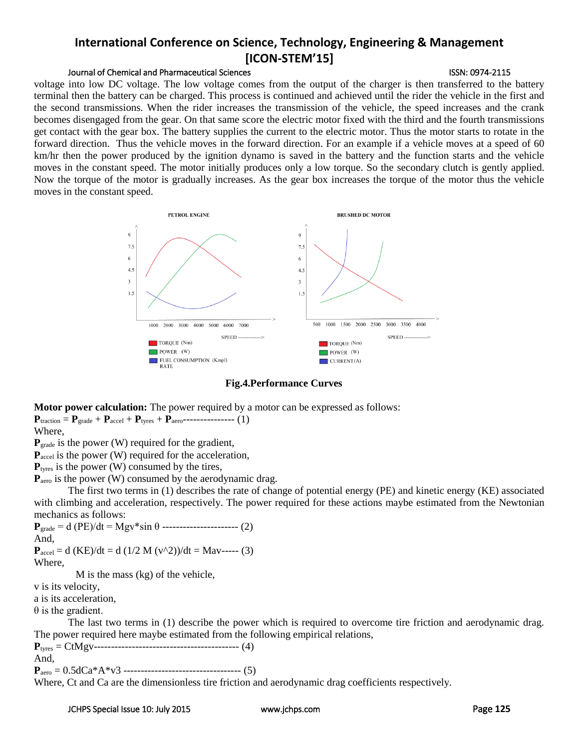## Journal of Chemical and Pharmaceutical Sciences **ISSN: 0974-2115** ISSN: 0974-2115

voltage into low DC voltage. The low voltage comes from the output of the charger is then transferred to the battery terminal then the battery can be charged. This process is continued and achieved until the rider the vehicle in the first and the second transmissions. When the rider increases the transmission of the vehicle, the speed increases and the crank becomes disengaged from the gear. On that same score the electric motor fixed with the third and the fourth transmissions get contact with the gear box. The battery supplies the current to the electric motor. Thus the motor starts to rotate in the forward direction. Thus the vehicle moves in the forward direction. For an example if a vehicle moves at a speed of 60 km/hr then the power produced by the ignition dynamo is saved in the battery and the function starts and the vehicle moves in the constant speed. The motor initially produces only a low torque. So the secondary clutch is gently applied. Now the torque of the motor is gradually increases. As the gear box increases the torque of the motor thus the vehicle moves in the constant speed.



#### **Fig.4.Performance Curves**

**Motor power calculation:** The power required by a motor can be expressed as follows:

 ${\bf P}_{\text{traction}} = {\bf P}_{\text{grade}} + {\bf P}_{\text{accel}} + {\bf P}_{\text{types}} + {\bf P}_{\text{aero}}$ ---------------- (1)

Where,

P<sub>grade</sub> is the power (W) required for the gradient,

P<sub>accel</sub> is the power (W) required for the acceleration,

P<sub>tyres</sub> is the power (W) consumed by the tires,

P<sub>aero</sub> is the power (W) consumed by the aerodynamic drag.

The first two terms in (1) describes the rate of change of potential energy (PE) and kinetic energy (KE) associated with climbing and acceleration, respectively. The power required for these actions maybe estimated from the Newtonian mechanics as follows:

```
{\bf P}_{\text{grade}} = d (PE)/dt = Mgv*sin \theta ----------------------- (2)
And,
```

```
{\bf P}_{\text{accel}} = d (KE)/dt = d (1/2 M (v^2))/dt = Mav----- (3)
```
Where,

M is the mass (kg) of the vehicle,

v is its velocity,

a is its acceleration,

 $θ$  is the gradient.

The last two terms in (1) describe the power which is required to overcome tire friction and aerodynamic drag. The power required here maybe estimated from the following empirical relations,

**P**tyres = CtMgv------------------------------------------ (4) And, **P**aero = 0.5dCa\*A\*v3 ---------------------------------- (5)

Where, Ct and Ca are the dimensionless tire friction and aerodynamic drag coefficients respectively.